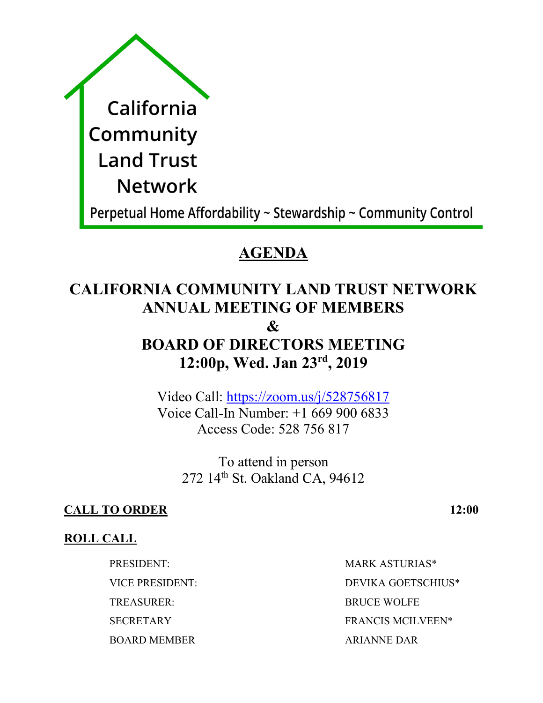| California     |
|----------------|
| Community      |
| Land Trust     |
| <b>Network</b> |
|                |

Perpetual Home Affordability  $\sim$  Stewardship  $\sim$  Community Control

## **AGENDA**

# **CALIFORNIA COMMUNITY LAND TRUST NETWORK ANNUAL MEETING OF MEMBERS**

## **&**

## **BOARD OF DIRECTORS MEETING 12:00p, Wed. Jan 23rd, 2019**

Video Call: https://zoom.us/j/528756817 Voice Call-In Number: +1 669 900 6833 Access Code: 528 756 817

To attend in person 272 14th St. Oakland CA, 94612

## **CALL TO ORDER 12:00**

## **ROLL CALL**

TREASURER: BRUCE WOLFE BOARD MEMBER ARIANNE DAR

PRESIDENT: MARK ASTURIAS\* VICE PRESIDENT: DEVIKA GOETSCHIUS\* SECRETARY FRANCIS MCILVEEN\*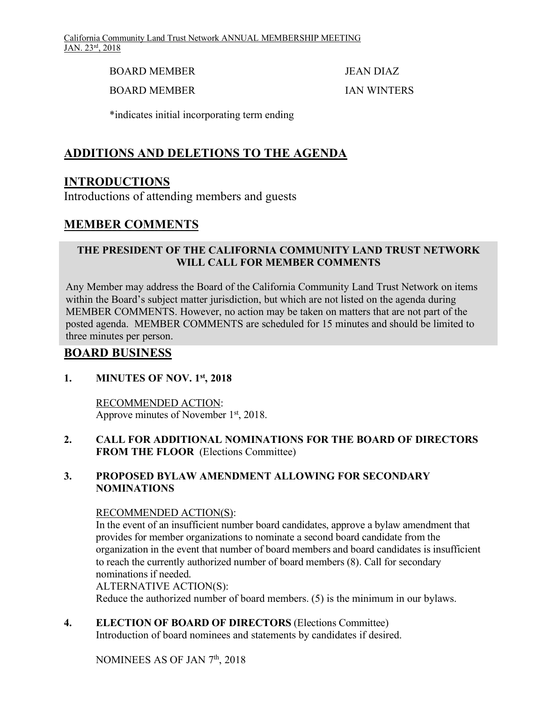BOARD MEMBER JEAN DIAZ

BOARD MEMBER

IAN WINTERS

\*indicates initial incorporating term ending

## **ADDITIONS AND DELETIONS TO THE AGENDA**

## **INTRODUCTIONS**

Introductions of attending members and guests

## **MEMBER COMMENTS**

#### **THE PRESIDENT OF THE CALIFORNIA COMMUNITY LAND TRUST NETWORK WILL CALL FOR MEMBER COMMENTS**

Any Member may address the Board of the California Community Land Trust Network on items within the Board's subject matter jurisdiction, but which are not listed on the agenda during MEMBER COMMENTS. However, no action may be taken on matters that are not part of the posted agenda. MEMBER COMMENTS are scheduled for 15 minutes and should be limited to three minutes per person.

### **BOARD BUSINESS**

#### **1. MINUTES OF NOV. 1st, 2018**

RECOMMENDED ACTION: Approve minutes of November 1<sup>st</sup>, 2018.

#### **2. CALL FOR ADDITIONAL NOMINATIONS FOR THE BOARD OF DIRECTORS FROM THE FLOOR** (Elections Committee)

#### **3. PROPOSED BYLAW AMENDMENT ALLOWING FOR SECONDARY NOMINATIONS**

#### RECOMMENDED ACTION(S):

In the event of an insufficient number board candidates, approve a bylaw amendment that provides for member organizations to nominate a second board candidate from the organization in the event that number of board members and board candidates is insufficient to reach the currently authorized number of board members (8). Call for secondary nominations if needed.

#### ALTERNATIVE ACTION(S):

Reduce the authorized number of board members. (5) is the minimum in our bylaws.

**4. ELECTION OF BOARD OF DIRECTORS** (Elections Committee) Introduction of board nominees and statements by candidates if desired.

NOMINEES AS OF JAN 7th, 2018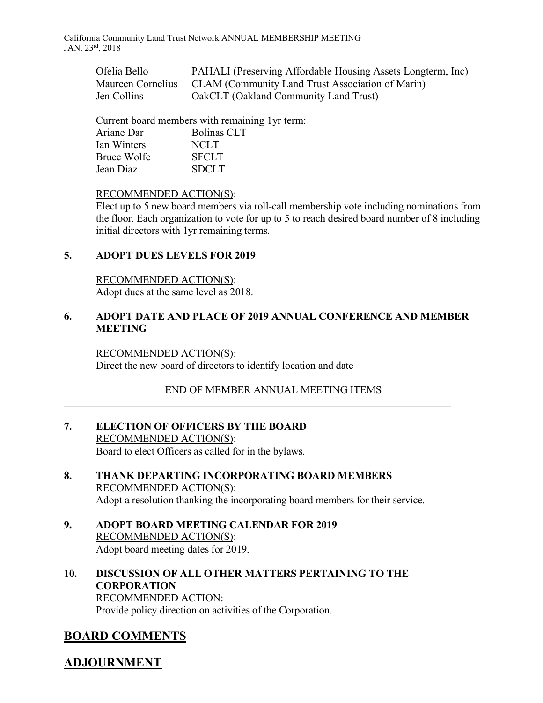| Ofelia Bello | PAHALI (Preserving Affordable Housing Assets Longterm, Inc)        |
|--------------|--------------------------------------------------------------------|
|              | Maureen Cornelius CLAM (Community Land Trust Association of Marin) |
| Jen Collins  | OakCLT (Oakland Community Land Trust)                              |

Current board members with remaining 1yr term:

| Ariane Dar  | <b>Bolinas CLT</b> |
|-------------|--------------------|
| Ian Winters | NCLT               |
| Bruce Wolfe | <b>SFCLT</b>       |
| Jean Diaz   | <b>SDCLT</b>       |

#### RECOMMENDED ACTION(S):

Elect up to 5 new board members via roll-call membership vote including nominations from the floor. Each organization to vote for up to 5 to reach desired board number of 8 including initial directors with 1yr remaining terms.

#### **5. ADOPT DUES LEVELS FOR 2019**

RECOMMENDED ACTION(S): Adopt dues at the same level as 2018.

#### **6. ADOPT DATE AND PLACE OF 2019 ANNUAL CONFERENCE AND MEMBER MEETING**

#### RECOMMENDED ACTION(S):

Direct the new board of directors to identify location and date

#### END OF MEMBER ANNUAL MEETING ITEMS

- **7. ELECTION OF OFFICERS BY THE BOARD** RECOMMENDED ACTION(S): Board to elect Officers as called for in the bylaws.
- **8. THANK DEPARTING INCORPORATING BOARD MEMBERS**  RECOMMENDED ACTION(S): Adopt a resolution thanking the incorporating board members for their service.
- **9. ADOPT BOARD MEETING CALENDAR FOR 2019**  RECOMMENDED ACTION(S): Adopt board meeting dates for 2019.
- **10. DISCUSSION OF ALL OTHER MATTERS PERTAINING TO THE CORPORATION** RECOMMENDED ACTION: Provide policy direction on activities of the Corporation.

## **BOARD COMMENTS**

### **ADJOURNMENT**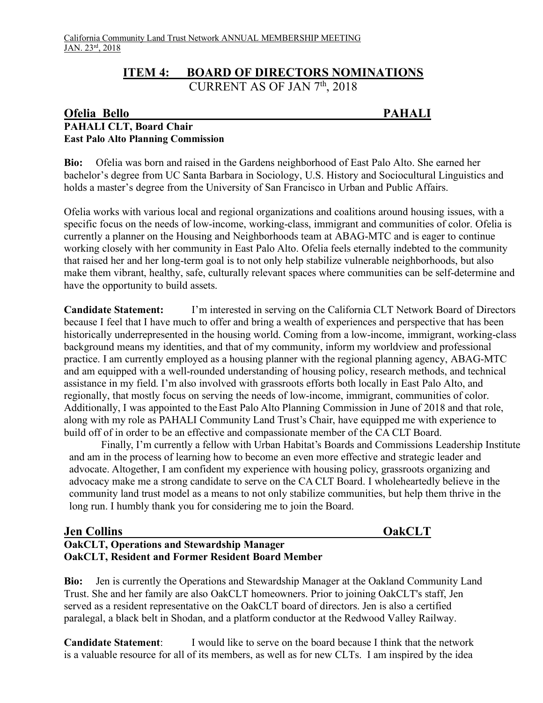#### **ITEM 4: BOARD OF DIRECTORS NOMINATIONS** CURRENT AS OF JAN  $7<sup>th</sup>$ , 2018

#### **Ofelia Bello PAHALI PAHALI CLT, Board Chair East Palo Alto Planning Commission**

**Bio:** Ofelia was born and raised in the Gardens neighborhood of East Palo Alto. She earned her bachelor's degree from UC Santa Barbara in Sociology, U.S. History and Sociocultural Linguistics and holds a master's degree from the University of San Francisco in Urban and Public Affairs.

Ofelia works with various local and regional organizations and coalitions around housing issues, with a specific focus on the needs of low-income, working-class, immigrant and communities of color. Ofelia is currently a planner on the Housing and Neighborhoods team at ABAG-MTC and is eager to continue working closely with her community in East Palo Alto. Ofelia feels eternally indebted to the community that raised her and her long-term goal is to not only help stabilize vulnerable neighborhoods, but also make them vibrant, healthy, safe, culturally relevant spaces where communities can be self-determine and have the opportunity to build assets.

**Candidate Statement:** I'm interested in serving on the California CLT Network Board of Directors because I feel that I have much to offer and bring a wealth of experiences and perspective that has been historically underrepresented in the housing world. Coming from a low-income, immigrant, working-class background means my identities, and that of my community, inform my worldview and professional practice. I am currently employed as a housing planner with the regional planning agency, ABAG-MTC and am equipped with a well-rounded understanding of housing policy, research methods, and technical assistance in my field. I'm also involved with grassroots efforts both locally in East Palo Alto, and regionally, that mostly focus on serving the needs of low-income, immigrant, communities of color. Additionally, I was appointed to the East Palo Alto Planning Commission in June of 2018 and that role, along with my role as PAHALI Community Land Trust's Chair, have equipped me with experience to build off of in order to be an effective and compassionate member of the CA CLT Board.

Finally, I'm currently a fellow with Urban Habitat's Boards and Commissions Leadership Institute and am in the process of learning how to become an even more effective and strategic leader and advocate. Altogether, I am confident my experience with housing policy, grassroots organizing and advocacy make me a strong candidate to serve on the CA CLT Board. I wholeheartedly believe in the community land trust model as a means to not only stabilize communities, but help them thrive in the long run. I humbly thank you for considering me to join the Board.

#### **Jen Collins OakCLT OakCLT, Operations and Stewardship Manager OakCLT, Resident and Former Resident Board Member**

**Bio:** Jen is currently the Operations and Stewardship Manager at the Oakland Community Land Trust. She and her family are also OakCLT homeowners. Prior to joining OakCLT's staff, Jen served as a resident representative on the OakCLT board of directors. Jen is also a certified paralegal, a black belt in Shodan, and a platform conductor at the Redwood Valley Railway.

**Candidate Statement**: I would like to serve on the board because I think that the network is a valuable resource for all of its members, as well as for new CLTs. I am inspired by the idea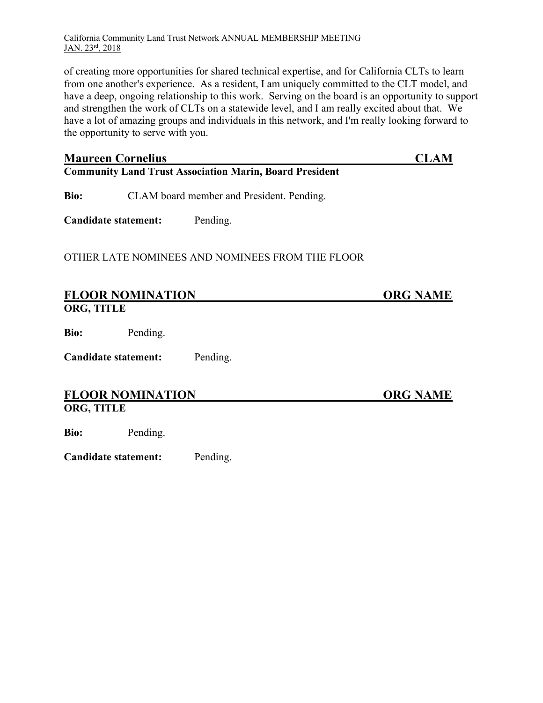#### California Community Land Trust Network ANNUAL MEMBERSHIP MEETING JAN. 23rd, 2018

of creating more opportunities for shared technical expertise, and for California CLTs to learn from one another's experience. As a resident, I am uniquely committed to the CLT model, and have a deep, ongoing relationship to this work. Serving on the board is an opportunity to support and strengthen the work of CLTs on a statewide level, and I am really excited about that. We have a lot of amazing groups and individuals in this network, and I'm really looking forward to the opportunity to serve with you.

| <b>Maureen Cornelius</b><br><b>Community Land Trust Association Marin, Board President</b> | CLAM                                      |                                                 |                 |  |  |
|--------------------------------------------------------------------------------------------|-------------------------------------------|-------------------------------------------------|-----------------|--|--|
| Bio:                                                                                       | CLAM board member and President. Pending. |                                                 |                 |  |  |
| <b>Candidate statement:</b>                                                                |                                           | Pending.                                        |                 |  |  |
|                                                                                            |                                           | OTHER LATE NOMINEES AND NOMINEES FROM THE FLOOR |                 |  |  |
| <b>FLOOR NOMINATION</b><br>ORG, TITLE                                                      |                                           |                                                 | <b>ORG NAME</b> |  |  |
| Bio:                                                                                       | Pending.                                  |                                                 |                 |  |  |
| <b>Candidate statement:</b><br>Pending.                                                    |                                           |                                                 |                 |  |  |
| ORG, TITLE                                                                                 | <b>FLOOR NOMINATION</b>                   |                                                 | <b>ORG NAME</b> |  |  |

**Bio:** Pending.

**Candidate statement:** Pending.